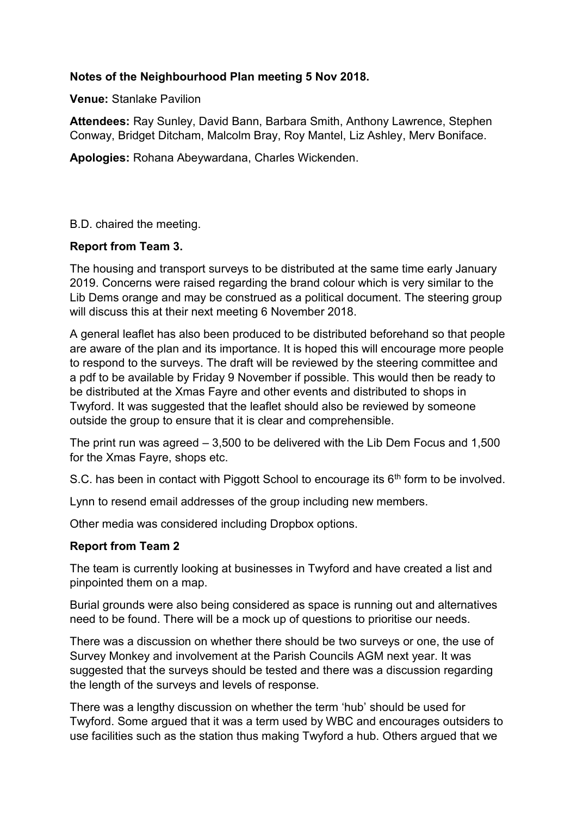## **Notes of the Neighbourhood Plan meeting 5 Nov 2018.**

**Venue:** Stanlake Pavilion

**Attendees:** Ray Sunley, David Bann, Barbara Smith, Anthony Lawrence, Stephen Conway, Bridget Ditcham, Malcolm Bray, Roy Mantel, Liz Ashley, Merv Boniface.

**Apologies:** Rohana Abeywardana, Charles Wickenden.

B.D. chaired the meeting.

## **Report from Team 3.**

The housing and transport surveys to be distributed at the same time early January 2019. Concerns were raised regarding the brand colour which is very similar to the Lib Dems orange and may be construed as a political document. The steering group will discuss this at their next meeting 6 November 2018.

A general leaflet has also been produced to be distributed beforehand so that people are aware of the plan and its importance. It is hoped this will encourage more people to respond to the surveys. The draft will be reviewed by the steering committee and a pdf to be available by Friday 9 November if possible. This would then be ready to be distributed at the Xmas Fayre and other events and distributed to shops in Twyford. It was suggested that the leaflet should also be reviewed by someone outside the group to ensure that it is clear and comprehensible.

The print run was agreed – 3,500 to be delivered with the Lib Dem Focus and 1,500 for the Xmas Fayre, shops etc.

S.C. has been in contact with Piggott School to encourage its  $6<sup>th</sup>$  form to be involved.

Lynn to resend email addresses of the group including new members.

Other media was considered including Dropbox options.

## **Report from Team 2**

The team is currently looking at businesses in Twyford and have created a list and pinpointed them on a map.

Burial grounds were also being considered as space is running out and alternatives need to be found. There will be a mock up of questions to prioritise our needs.

There was a discussion on whether there should be two surveys or one, the use of Survey Monkey and involvement at the Parish Councils AGM next year. It was suggested that the surveys should be tested and there was a discussion regarding the length of the surveys and levels of response.

There was a lengthy discussion on whether the term 'hub' should be used for Twyford. Some argued that it was a term used by WBC and encourages outsiders to use facilities such as the station thus making Twyford a hub. Others argued that we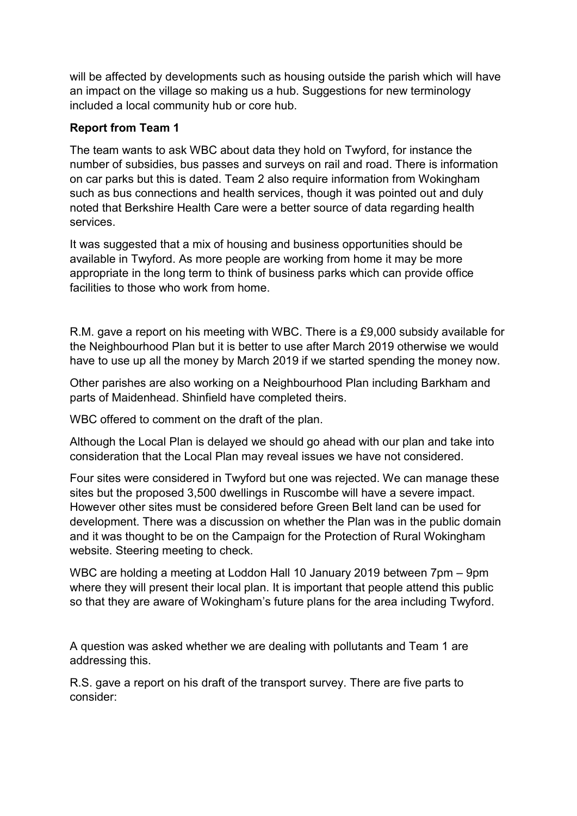will be affected by developments such as housing outside the parish which will have an impact on the village so making us a hub. Suggestions for new terminology included a local community hub or core hub.

## **Report from Team 1**

The team wants to ask WBC about data they hold on Twyford, for instance the number of subsidies, bus passes and surveys on rail and road. There is information on car parks but this is dated. Team 2 also require information from Wokingham such as bus connections and health services, though it was pointed out and duly noted that Berkshire Health Care were a better source of data regarding health services.

It was suggested that a mix of housing and business opportunities should be available in Twyford. As more people are working from home it may be more appropriate in the long term to think of business parks which can provide office facilities to those who work from home.

R.M. gave a report on his meeting with WBC. There is a £9,000 subsidy available for the Neighbourhood Plan but it is better to use after March 2019 otherwise we would have to use up all the money by March 2019 if we started spending the money now.

Other parishes are also working on a Neighbourhood Plan including Barkham and parts of Maidenhead. Shinfield have completed theirs.

WBC offered to comment on the draft of the plan.

Although the Local Plan is delayed we should go ahead with our plan and take into consideration that the Local Plan may reveal issues we have not considered.

Four sites were considered in Twyford but one was rejected. We can manage these sites but the proposed 3,500 dwellings in Ruscombe will have a severe impact. However other sites must be considered before Green Belt land can be used for development. There was a discussion on whether the Plan was in the public domain and it was thought to be on the Campaign for the Protection of Rural Wokingham website. Steering meeting to check.

WBC are holding a meeting at Loddon Hall 10 January 2019 between 7pm – 9pm where they will present their local plan. It is important that people attend this public so that they are aware of Wokingham's future plans for the area including Twyford.

A question was asked whether we are dealing with pollutants and Team 1 are addressing this.

R.S. gave a report on his draft of the transport survey. There are five parts to consider: